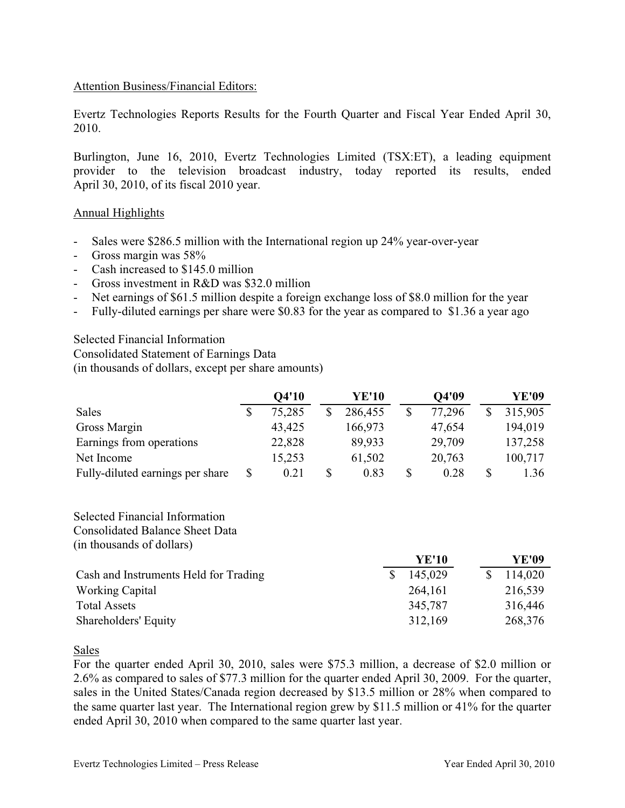## Attention Business/Financial Editors:

Evertz Technologies Reports Results for the Fourth Quarter and Fiscal Year Ended April 30, 2010.

Burlington, June 16, 2010, Evertz Technologies Limited (TSX:ET), a leading equipment provider to the television broadcast industry, today reported its results, ended April 30, 2010, of its fiscal 2010 year.

## Annual Highlights

- Sales were \$286.5 million with the International region up 24% year-over-year
- Gross margin was 58%
- Cash increased to \$145.0 million
- Gross investment in R&D was \$32.0 million
- Net earnings of \$61.5 million despite a foreign exchange loss of \$8.0 million for the year
- Fully-diluted earnings per share were \$0.83 for the year as compared to \$1.36 a year ago

Selected Financial Information Consolidated Statement of Earnings Data

(in thousands of dollars, except per share amounts)

|                                  |   | Q4'10  | <b>YE'10</b> |              | Q4'09  | YE'09   |
|----------------------------------|---|--------|--------------|--------------|--------|---------|
| <b>Sales</b>                     |   | 75,285 | 286,455      | $\mathbb{S}$ | 77,296 | 315,905 |
| Gross Margin                     |   | 43,425 | 166,973      |              | 47,654 | 194,019 |
| Earnings from operations         |   | 22,828 | 89,933       |              | 29,709 | 137,258 |
| Net Income                       |   | 15,253 | 61,502       |              | 20,763 | 100,717 |
| Fully-diluted earnings per share | S | 0.21   | \$<br>0.83   | \$           | 0.28   | 1.36    |

## Selected Financial Information

Consolidated Balance Sheet Data

(in thousands of dollars)

|                                       | <b>YE'10</b> | YE'09   |
|---------------------------------------|--------------|---------|
| Cash and Instruments Held for Trading | 145,029      | 114,020 |
| <b>Working Capital</b>                | 264,161      | 216,539 |
| <b>Total Assets</b>                   | 345,787      | 316,446 |
| Shareholders' Equity                  | 312,169      | 268,376 |

Sales

For the quarter ended April 30, 2010, sales were \$75.3 million, a decrease of \$2.0 million or 2.6% as compared to sales of \$77.3 million for the quarter ended April 30, 2009. For the quarter, sales in the United States/Canada region decreased by \$13.5 million or 28% when compared to the same quarter last year. The International region grew by \$11.5 million or 41% for the quarter ended April 30, 2010 when compared to the same quarter last year.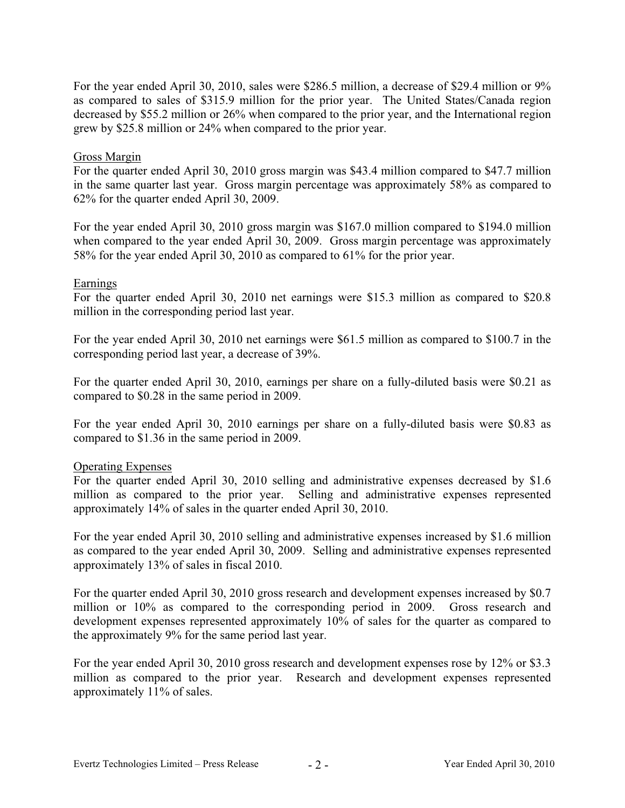For the year ended April 30, 2010, sales were \$286.5 million, a decrease of \$29.4 million or 9% as compared to sales of \$315.9 million for the prior year. The United States/Canada region decreased by \$55.2 million or 26% when compared to the prior year, and the International region grew by \$25.8 million or 24% when compared to the prior year.

## Gross Margin

For the quarter ended April 30, 2010 gross margin was \$43.4 million compared to \$47.7 million in the same quarter last year. Gross margin percentage was approximately 58% as compared to 62% for the quarter ended April 30, 2009.

For the year ended April 30, 2010 gross margin was \$167.0 million compared to \$194.0 million when compared to the year ended April 30, 2009. Gross margin percentage was approximately 58% for the year ended April 30, 2010 as compared to 61% for the prior year.

## Earnings

For the quarter ended April 30, 2010 net earnings were \$15.3 million as compared to \$20.8 million in the corresponding period last year.

For the year ended April 30, 2010 net earnings were \$61.5 million as compared to \$100.7 in the corresponding period last year, a decrease of 39%.

For the quarter ended April 30, 2010, earnings per share on a fully-diluted basis were \$0.21 as compared to \$0.28 in the same period in 2009.

For the year ended April 30, 2010 earnings per share on a fully-diluted basis were \$0.83 as compared to \$1.36 in the same period in 2009.

## Operating Expenses

For the quarter ended April 30, 2010 selling and administrative expenses decreased by \$1.6 million as compared to the prior year. Selling and administrative expenses represented approximately 14% of sales in the quarter ended April 30, 2010.

For the year ended April 30, 2010 selling and administrative expenses increased by \$1.6 million as compared to the year ended April 30, 2009. Selling and administrative expenses represented approximately 13% of sales in fiscal 2010.

For the quarter ended April 30, 2010 gross research and development expenses increased by \$0.7 million or 10% as compared to the corresponding period in 2009. Gross research and development expenses represented approximately 10% of sales for the quarter as compared to the approximately 9% for the same period last year.

For the year ended April 30, 2010 gross research and development expenses rose by 12% or \$3.3 million as compared to the prior year. Research and development expenses represented approximately 11% of sales.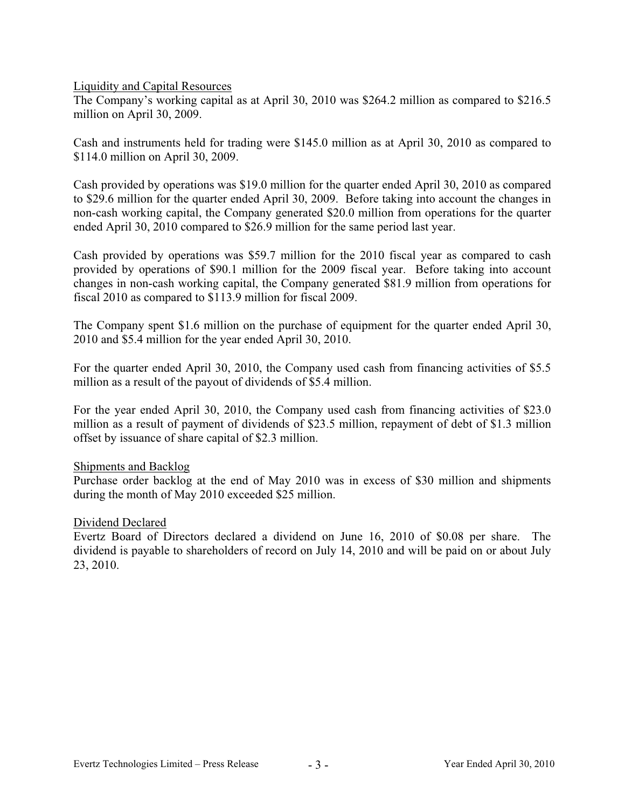Liquidity and Capital Resources

The Company's working capital as at April 30, 2010 was \$264.2 million as compared to \$216.5 million on April 30, 2009.

Cash and instruments held for trading were \$145.0 million as at April 30, 2010 as compared to \$114.0 million on April 30, 2009.

Cash provided by operations was \$19.0 million for the quarter ended April 30, 2010 as compared to \$29.6 million for the quarter ended April 30, 2009. Before taking into account the changes in non-cash working capital, the Company generated \$20.0 million from operations for the quarter ended April 30, 2010 compared to \$26.9 million for the same period last year.

Cash provided by operations was \$59.7 million for the 2010 fiscal year as compared to cash provided by operations of \$90.1 million for the 2009 fiscal year. Before taking into account changes in non-cash working capital, the Company generated \$81.9 million from operations for fiscal 2010 as compared to \$113.9 million for fiscal 2009.

The Company spent \$1.6 million on the purchase of equipment for the quarter ended April 30, 2010 and \$5.4 million for the year ended April 30, 2010.

For the quarter ended April 30, 2010, the Company used cash from financing activities of \$5.5 million as a result of the payout of dividends of \$5.4 million.

For the year ended April 30, 2010, the Company used cash from financing activities of \$23.0 million as a result of payment of dividends of \$23.5 million, repayment of debt of \$1.3 million offset by issuance of share capital of \$2.3 million.

## Shipments and Backlog

Purchase order backlog at the end of May 2010 was in excess of \$30 million and shipments during the month of May 2010 exceeded \$25 million.

## Dividend Declared

Evertz Board of Directors declared a dividend on June 16, 2010 of \$0.08 per share. The dividend is payable to shareholders of record on July 14, 2010 and will be paid on or about July 23, 2010.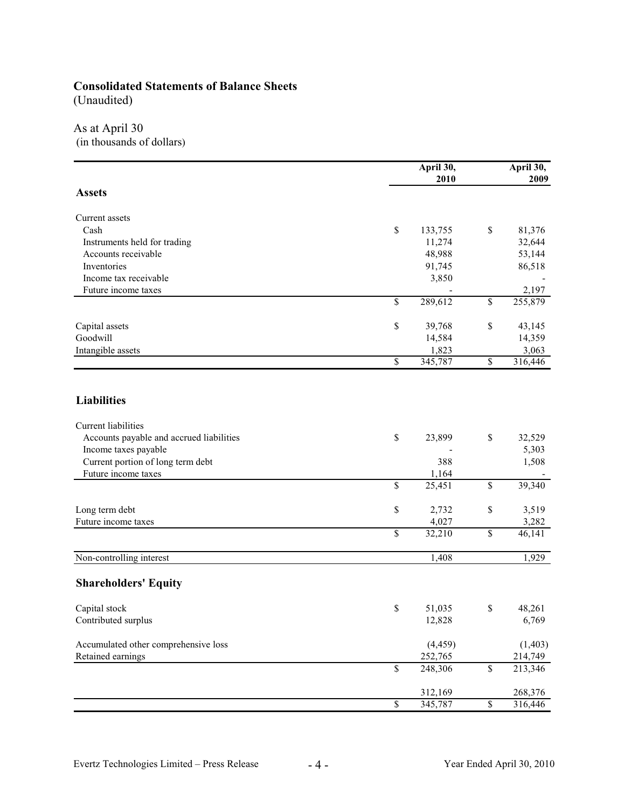# **Consolidated Statements of Balance Sheets**

(Unaudited)

## As at April 30

(in thousands of dollars)

|                                          | April 30,     |                          |         |  |  |
|------------------------------------------|---------------|--------------------------|---------|--|--|
|                                          | 2010          |                          | 2009    |  |  |
| <b>Assets</b>                            |               |                          |         |  |  |
| Current assets                           |               |                          |         |  |  |
| Cash                                     | \$<br>133,755 | \$                       | 81,376  |  |  |
| Instruments held for trading             | 11,274        |                          | 32,644  |  |  |
| Accounts receivable                      | 48,988        |                          | 53,144  |  |  |
| Inventories                              | 91,745        |                          | 86,518  |  |  |
| Income tax receivable                    | 3,850         |                          |         |  |  |
| Future income taxes                      |               |                          | 2,197   |  |  |
|                                          | \$<br>289,612 | \$                       | 255,879 |  |  |
| Capital assets                           | \$<br>39,768  | \$                       | 43,145  |  |  |
| Goodwill                                 | 14,584        |                          | 14,359  |  |  |
| Intangible assets                        | 1,823         |                          | 3,063   |  |  |
|                                          | \$<br>345,787 | \$                       | 316,446 |  |  |
|                                          |               |                          |         |  |  |
| <b>Liabilities</b>                       |               |                          |         |  |  |
| <b>Current</b> liabilities               |               |                          |         |  |  |
| Accounts payable and accrued liabilities | \$<br>23,899  | \$                       | 32,529  |  |  |
| Income taxes payable                     |               |                          | 5,303   |  |  |
| Current portion of long term debt        | 388           |                          | 1,508   |  |  |
| Future income taxes                      | 1,164         |                          |         |  |  |
|                                          | \$<br>25,451  | \$                       | 39,340  |  |  |
| Long term debt                           | \$<br>2,732   | \$                       | 3,519   |  |  |
| Future income taxes                      | 4,027         |                          | 3,282   |  |  |
|                                          | \$<br>32,210  | \$                       | 46,141  |  |  |
| Non-controlling interest                 | 1,408         |                          | 1,929   |  |  |
| <b>Shareholders' Equity</b>              |               |                          |         |  |  |
| Capital stock                            | \$<br>51,035  | \$                       | 48,261  |  |  |
| Contributed surplus                      | 12,828        |                          | 6,769   |  |  |
| Accumulated other comprehensive loss     | (4, 459)      |                          | (1,403) |  |  |
| Retained earnings                        | 252,765       |                          | 214,749 |  |  |
|                                          | \$<br>248,306 | $\mathbb S$              | 213,346 |  |  |
|                                          | 312,169       |                          | 268,376 |  |  |
|                                          | \$<br>345,787 | $\overline{\mathcal{S}}$ | 316,446 |  |  |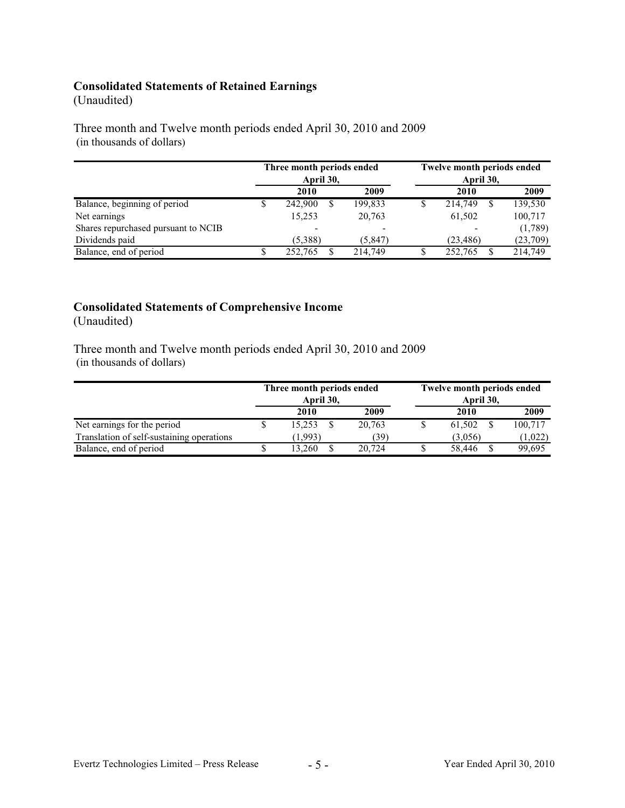## **Consolidated Statements of Retained Earnings**

## (Unaudited)

Three month and Twelve month periods ended April 30, 2010 and 2009 (in thousands of dollars)

|                                     | Three month periods ended<br>April 30, |   | <b>Twelve month periods ended</b><br>April 30, |  |           |  |          |
|-------------------------------------|----------------------------------------|---|------------------------------------------------|--|-----------|--|----------|
|                                     | 2010                                   |   | 2009                                           |  | 2010      |  | 2009     |
| Balance, beginning of period        | 242,900                                | S | 199,833                                        |  | 214,749   |  | 139,530  |
| Net earnings                        | 15,253                                 |   | 20,763                                         |  | 61,502    |  | 100,717  |
| Shares repurchased pursuant to NCIB |                                        |   |                                                |  |           |  | (1,789)  |
| Dividends paid                      | (5,388)                                |   | (5,847)                                        |  | (23, 486) |  | (23,709) |
| Balance, end of period              | 252,765                                |   | 214.749                                        |  | 252,765   |  | 214.749  |

# **Consolidated Statements of Comprehensive Income**

(Unaudited)

Three month and Twelve month periods ended April 30, 2010 and 2009 (in thousands of dollars)

|                                           | Three month periods ended<br>April 30, |        | <b>Twelve month periods ended</b><br>April 30, |         |         |  |  |  |
|-------------------------------------------|----------------------------------------|--------|------------------------------------------------|---------|---------|--|--|--|
|                                           | 2010                                   | 2009   |                                                | 2010    | 2009    |  |  |  |
| Net earnings for the period               | 15.253                                 | 20.763 |                                                | 61.502  | 100,717 |  |  |  |
| Translation of self-sustaining operations | (1.993)                                | (39)   |                                                | (3.056) | (1,022) |  |  |  |
| Balance, end of period                    | 13.260                                 | 20,724 |                                                | 58.446  | 99,695  |  |  |  |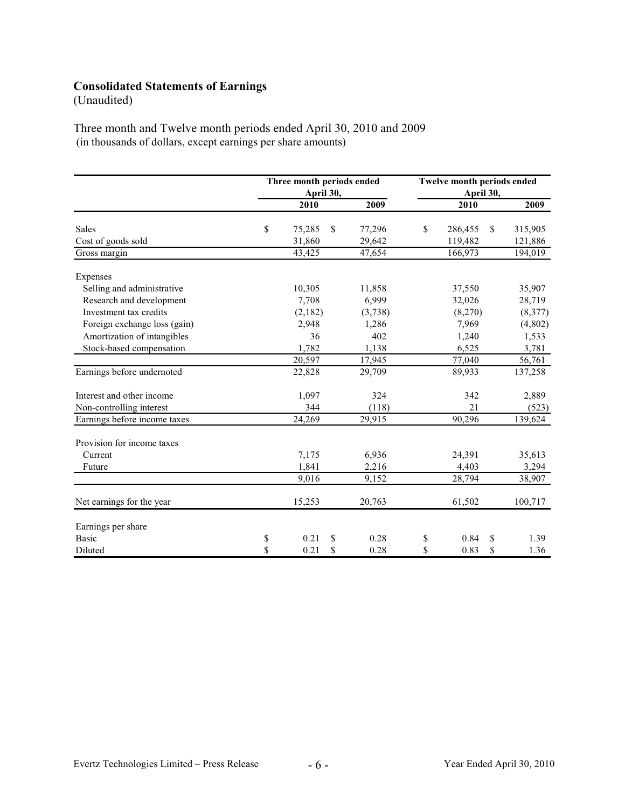## **Consolidated Statements of Earnings**

(Unaudited)

Three month and Twelve month periods ended April 30, 2010 and 2009 (in thousands of dollars, except earnings per share amounts)

|                              | Three month periods ended<br>April 30, |               | Twelve month periods ended<br>April 30, |    |         |               |         |
|------------------------------|----------------------------------------|---------------|-----------------------------------------|----|---------|---------------|---------|
|                              | 2010                                   |               | 2009                                    |    | 2010    |               | 2009    |
| <b>Sales</b>                 | \$<br>75,285                           | <sup>\$</sup> | 77,296                                  | \$ | 286,455 | <sup>\$</sup> | 315,905 |
| Cost of goods sold           | 31,860                                 |               | 29,642                                  |    | 119,482 |               | 121,886 |
| Gross margin                 | 43,425                                 |               | 47,654                                  |    | 166,973 |               | 194,019 |
| Expenses                     |                                        |               |                                         |    |         |               |         |
| Selling and administrative   | 10,305                                 |               | 11,858                                  |    | 37,550  |               | 35,907  |
| Research and development     | 7,708                                  |               | 6,999                                   |    | 32,026  |               | 28,719  |
| Investment tax credits       | (2,182)                                |               | (3,738)                                 |    | (8,270) |               | (8,377) |
| Foreign exchange loss (gain) | 2,948                                  |               | 1,286                                   |    | 7,969   |               | (4,802) |
| Amortization of intangibles  | 36                                     |               | 402                                     |    | 1,240   |               | 1,533   |
| Stock-based compensation     | 1,782                                  |               | 1,138                                   |    | 6,525   |               | 3,781   |
|                              | 20,597                                 |               | 17,945                                  |    | 77,040  |               | 56,761  |
| Earnings before undernoted   | 22,828                                 |               | 29,709                                  |    | 89,933  |               | 137,258 |
| Interest and other income    | 1,097                                  |               | 324                                     |    | 342     |               | 2,889   |
| Non-controlling interest     | 344                                    |               | (118)                                   |    | 21      |               | (523)   |
| Earnings before income taxes | 24,269                                 |               | 29,915                                  |    | 90,296  |               | 139,624 |
| Provision for income taxes   |                                        |               |                                         |    |         |               |         |
| Current                      | 7,175                                  |               | 6,936                                   |    | 24,391  |               | 35,613  |
| Future                       | 1,841                                  |               | 2,216                                   |    | 4,403   |               | 3,294   |
|                              | 9,016                                  |               | 9,152                                   |    | 28,794  |               | 38,907  |
| Net earnings for the year    | 15,253                                 |               | 20,763                                  |    | 61,502  |               | 100,717 |
| Earnings per share           |                                        |               |                                         |    |         |               |         |
| <b>Basic</b>                 | \$<br>0.21                             | \$            | 0.28                                    | \$ | 0.84    | S             | 1.39    |
| Diluted                      | \$<br>0.21                             | \$            | 0.28                                    | \$ | 0.83    | S             | 1.36    |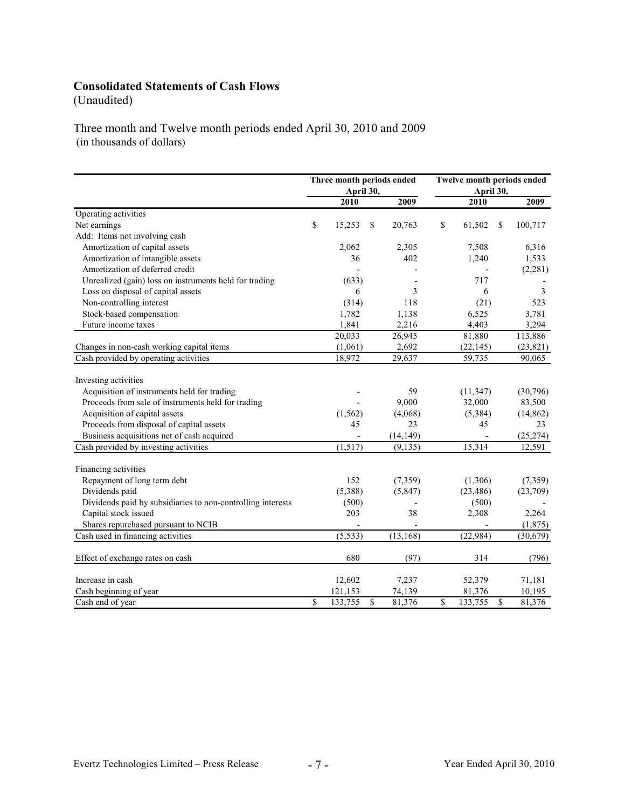# **Consolidated Statements of Cash Flows**

(Unaudited)

Three month and Twelve month periods ended April 30, 2010 and 2009 (in thousands of dollars)

|                                                             |             | Three month periods ended<br>April 30, |    | Twelve month periods ended<br>April 30, |    |                |                          |           |
|-------------------------------------------------------------|-------------|----------------------------------------|----|-----------------------------------------|----|----------------|--------------------------|-----------|
|                                                             |             | 2010                                   |    | 2009                                    |    | 2010           |                          | 2009      |
| Operating activities                                        |             |                                        |    |                                         |    |                |                          |           |
| Net earnings                                                | $\mathbf S$ | 15,253                                 | \$ | 20,763                                  | \$ | 61,502         | \$                       | 100,717   |
| Add: Items not involving cash                               |             |                                        |    |                                         |    |                |                          |           |
| Amortization of capital assets                              |             | 2,062                                  |    | 2,305                                   |    | 7,508          |                          | 6,316     |
| Amortization of intangible assets                           |             | 36                                     |    | 402                                     |    | 1,240          |                          | 1,533     |
| Amortization of deferred credit                             |             |                                        |    |                                         |    |                |                          | (2, 281)  |
| Unrealized (gain) loss on instruments held for trading      |             | (633)                                  |    |                                         |    | 717            |                          |           |
| Loss on disposal of capital assets                          |             | 6                                      |    | 3                                       |    | 6              |                          | 3         |
| Non-controlling interest                                    |             | (314)                                  |    | 118                                     |    | (21)           |                          | 523       |
| Stock-based compensation                                    |             | 1,782                                  |    | 1,138                                   |    | 6,525          |                          | 3,781     |
| Future income taxes                                         |             | 1,841                                  |    | 2,216                                   |    | 4,403          |                          | 3,294     |
|                                                             |             | 20,033                                 |    | 26,945                                  |    | 81,880         |                          | 113,886   |
| Changes in non-cash working capital items                   |             | (1,061)                                |    | 2,692                                   |    | (22, 145)      |                          | (23, 821) |
| Cash provided by operating activities                       |             | 18,972                                 |    | 29,637                                  |    | 59,735         |                          | 90,065    |
| Investing activities                                        |             |                                        |    |                                         |    |                |                          |           |
| Acquisition of instruments held for trading                 |             |                                        |    | 59                                      |    | (11, 347)      |                          | (30, 796) |
| Proceeds from sale of instruments held for trading          |             |                                        |    | 9,000                                   |    | 32,000         |                          | 83,500    |
| Acquisition of capital assets                               |             | (1, 562)                               |    | (4,068)                                 |    | (5,384)        |                          | (14, 862) |
| Proceeds from disposal of capital assets                    |             | 45                                     |    | 23                                      |    | 45             |                          | 23        |
| Business acquisitions net of cash acquired                  |             | $\overline{a}$                         |    | (14, 149)                               |    | $\blacksquare$ |                          | (25, 274) |
| Cash provided by investing activities                       |             | (1,517)                                |    | (9, 135)                                |    | 15,314         |                          | 12,591    |
| Financing activities                                        |             |                                        |    |                                         |    |                |                          |           |
| Repayment of long term debt                                 |             | 152                                    |    | (7, 359)                                |    | (1,306)        |                          | (7, 359)  |
| Dividends paid                                              |             | (5,388)                                |    | (5,847)                                 |    | (23, 486)      |                          | (23,709)  |
| Dividends paid by subsidiaries to non-controlling interests |             | (500)                                  |    |                                         |    | (500)          |                          |           |
| Capital stock issued                                        |             | 203                                    |    | 38                                      |    | 2,308          |                          | 2,264     |
| Shares repurchased pursuant to NCIB                         |             |                                        |    |                                         |    |                |                          | (1,875)   |
| Cash used in financing activities                           |             | (5, 533)                               |    | (13, 168)                               |    | (22, 984)      |                          | (30,679)  |
| Effect of exchange rates on cash                            |             | 680                                    |    | (97)                                    |    | 314            |                          | (796)     |
| Increase in cash                                            |             | 12,602                                 |    | 7,237                                   |    | 52,379         |                          | 71,181    |
| Cash beginning of year                                      |             | 121,153                                |    | 74,139                                  |    | 81,376         |                          | 10,195    |
| Cash end of year                                            | \$          | 133,755                                | \$ | 81,376                                  | \$ | 133,755        | $\overline{\mathcal{S}}$ | 81,376    |